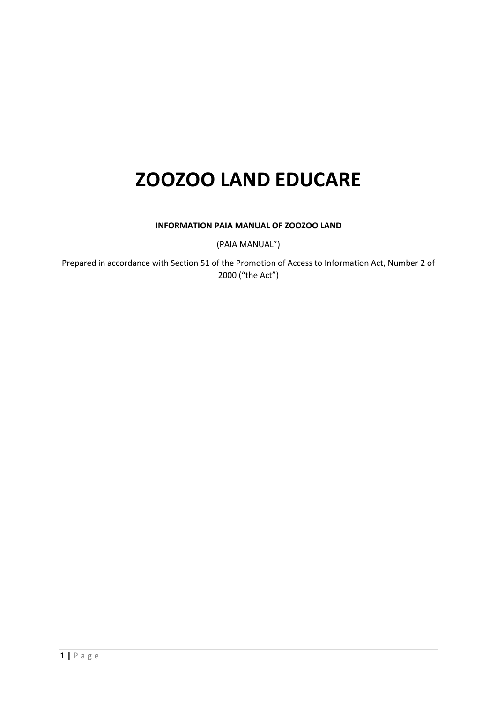# **ZOOZOO LAND EDUCARE**

# **INFORMATION PAIA MANUAL OF ZOOZOO LAND**

(PAIA MANUAL")

Prepared in accordance with Section 51 of the Promotion of Access to Information Act, Number 2 of 2000 ("the Act")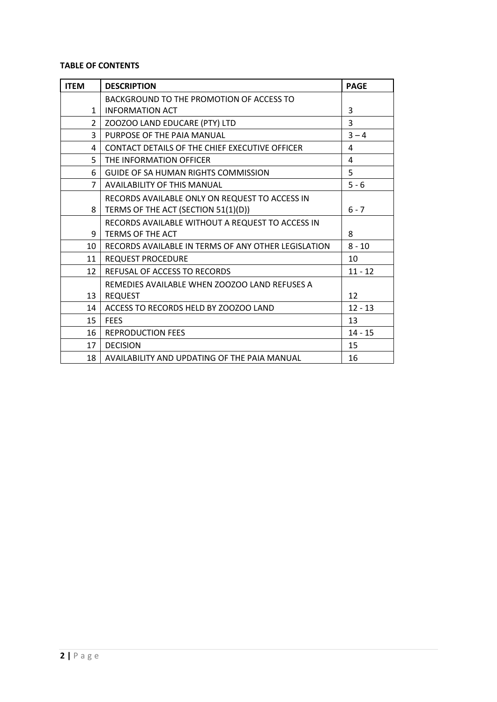# **TABLE OF CONTENTS**

| <b>ITEM</b>    | <b>DESCRIPTION</b>                                  | <b>PAGE</b> |
|----------------|-----------------------------------------------------|-------------|
|                | BACKGROUND TO THE PROMOTION OF ACCESS TO            |             |
| $\mathbf{1}$   | <b>INFORMATION ACT</b>                              | 3           |
| $\overline{2}$ | ZOOZOO LAND EDUCARE (PTY) LTD                       | 3           |
| 3              | PURPOSE OF THE PAIA MANUAL                          | $3 - 4$     |
| 4              | CONTACT DETAILS OF THE CHIEF EXECUTIVE OFFICER      | 4           |
| 5              | THE INFORMATION OFFICER                             | 4           |
| 6              | <b>GUIDE OF SA HUMAN RIGHTS COMMISSION</b>          | 5           |
| $\overline{7}$ | <b>AVAILABILITY OF THIS MANUAL</b>                  | $5 - 6$     |
|                | RECORDS AVAILABLE ONLY ON REQUEST TO ACCESS IN      |             |
| 8              | TERMS OF THE ACT (SECTION 51(1)(D))                 | $6 - 7$     |
|                | RECORDS AVAILABLE WITHOUT A REQUEST TO ACCESS IN    |             |
| 9              | <b>TERMS OF THE ACT</b>                             | 8           |
| 10             | RECORDS AVAILABLE IN TERMS OF ANY OTHER LEGISLATION | $8 - 10$    |
| 11             | <b>REQUEST PROCEDURE</b>                            | 10          |
| 12             | REFUSAL OF ACCESS TO RECORDS                        | $11 - 12$   |
|                | REMEDIES AVAILABLE WHEN ZOOZOO LAND REFUSES A       |             |
| 13             | <b>REQUEST</b>                                      | 12          |
| 14             | ACCESS TO RECORDS HELD BY ZOOZOO LAND               | $12 - 13$   |
| 15             | <b>FFFS</b>                                         | 13          |
| 16             | <b>REPRODUCTION FEES</b>                            | $14 - 15$   |
| 17             | <b>DECISION</b>                                     | 15          |
| 18             | AVAILABILITY AND UPDATING OF THE PAIA MANUAL        | 16          |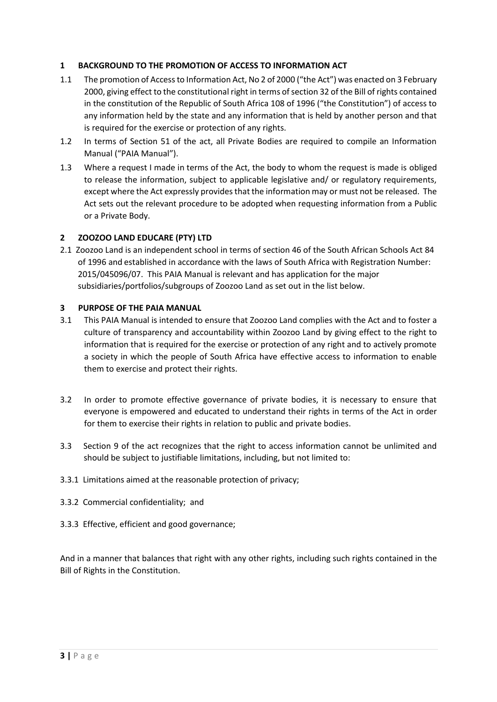# **1 BACKGROUND TO THE PROMOTION OF ACCESS TO INFORMATION ACT**

- 1.1 The promotion of Access to Information Act, No 2 of 2000 ("the Act") was enacted on 3 February 2000, giving effect to the constitutional right in terms of section 32 of the Bill of rights contained in the constitution of the Republic of South Africa 108 of 1996 ("the Constitution") of access to any information held by the state and any information that is held by another person and that is required for the exercise or protection of any rights.
- 1.2 In terms of Section 51 of the act, all Private Bodies are required to compile an Information Manual ("PAIA Manual").
- 1.3 Where a request I made in terms of the Act, the body to whom the request is made is obliged to release the information, subject to applicable legislative and/ or regulatory requirements, except where the Act expressly provides that the information may or must not be released. The Act sets out the relevant procedure to be adopted when requesting information from a Public or a Private Body.

# **2 ZOOZOO LAND EDUCARE (PTY) LTD**

2.1 Zoozoo Land is an independent school in terms of section 46 of the South African Schools Act 84 of 1996 and established in accordance with the laws of South Africa with Registration Number: 2015/045096/07. This PAIA Manual is relevant and has application for the major subsidiaries/portfolios/subgroups of Zoozoo Land as set out in the list below.

# **3 PURPOSE OF THE PAIA MANUAL**

- 3.1 This PAIA Manual is intended to ensure that Zoozoo Land complies with the Act and to foster a culture of transparency and accountability within Zoozoo Land by giving effect to the right to information that is required for the exercise or protection of any right and to actively promote a society in which the people of South Africa have effective access to information to enable them to exercise and protect their rights.
- 3.2 In order to promote effective governance of private bodies, it is necessary to ensure that everyone is empowered and educated to understand their rights in terms of the Act in order for them to exercise their rights in relation to public and private bodies.
- 3.3 Section 9 of the act recognizes that the right to access information cannot be unlimited and should be subject to justifiable limitations, including, but not limited to:
- 3.3.1 Limitations aimed at the reasonable protection of privacy;
- 3.3.2 Commercial confidentiality; and
- 3.3.3 Effective, efficient and good governance;

And in a manner that balances that right with any other rights, including such rights contained in the Bill of Rights in the Constitution.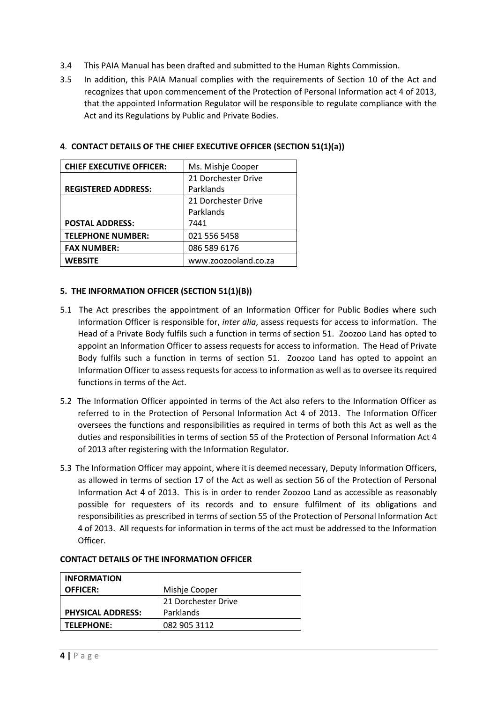- 3.4 This PAIA Manual has been drafted and submitted to the Human Rights Commission.
- 3.5 In addition, this PAIA Manual complies with the requirements of Section 10 of the Act and recognizes that upon commencement of the Protection of Personal Information act 4 of 2013, that the appointed Information Regulator will be responsible to regulate compliance with the Act and its Regulations by Public and Private Bodies.

| <b>CHIEF EXECUTIVE OFFICER:</b> | Ms. Mishje Cooper    |  |
|---------------------------------|----------------------|--|
|                                 | 21 Dorchester Drive  |  |
| <b>REGISTERED ADDRESS:</b>      | Parklands            |  |
| 21 Dorchester Drive             |                      |  |
|                                 | Parklands            |  |
| <b>POSTAL ADDRESS:</b>          | 7441                 |  |
| <b>TELEPHONE NUMBER:</b>        | 021 556 5458         |  |
| <b>FAX NUMBER:</b>              | 086 589 6176         |  |
| <b>WEBSITE</b>                  | www.zoozooland.co.za |  |

## **4**. **CONTACT DETAILS OF THE CHIEF EXECUTIVE OFFICER (SECTION 51(1)(a))**

## **5. THE INFORMATION OFFICER (SECTION 51(1)(B))**

- 5.1 The Act prescribes the appointment of an Information Officer for Public Bodies where such Information Officer is responsible for, *inter alia*, assess requests for access to information. The Head of a Private Body fulfils such a function in terms of section 51. Zoozoo Land has opted to appoint an Information Officer to assess requests for access to information. The Head of Private Body fulfils such a function in terms of section 51. Zoozoo Land has opted to appoint an Information Officer to assess requests for access to information as well as to oversee its required functions in terms of the Act.
- 5.2 The Information Officer appointed in terms of the Act also refers to the Information Officer as referred to in the Protection of Personal Information Act 4 of 2013. The Information Officer oversees the functions and responsibilities as required in terms of both this Act as well as the duties and responsibilities in terms of section 55 of the Protection of Personal Information Act 4 of 2013 after registering with the Information Regulator.
- 5.3 The Information Officer may appoint, where it is deemed necessary, Deputy Information Officers, as allowed in terms of section 17 of the Act as well as section 56 of the Protection of Personal Information Act 4 of 2013. This is in order to render Zoozoo Land as accessible as reasonably possible for requesters of its records and to ensure fulfilment of its obligations and responsibilities as prescribed in terms of section 55 of the Protection of Personal Information Act 4 of 2013. All requests for information in terms of the act must be addressed to the Information Officer.

| <b>INFORMATION</b>       |                     |  |
|--------------------------|---------------------|--|
| <b>OFFICER:</b>          | Mishje Cooper       |  |
|                          | 21 Dorchester Drive |  |
| <b>PHYSICAL ADDRESS:</b> | Parklands           |  |
| TELEPHONE:               | 082 905 3112        |  |

## **CONTACT DETAILS OF THE INFORMATION OFFICER**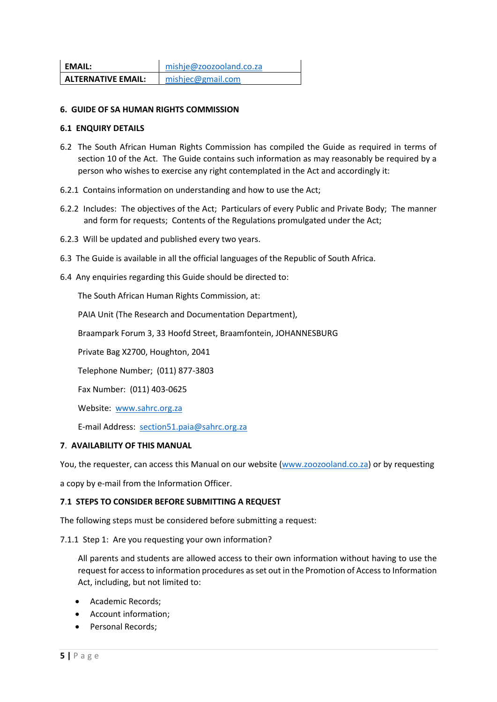| <b>EMAIL:</b>             | mishje@zoozooland.co.za |
|---------------------------|-------------------------|
| <b>ALTERNATIVE EMAIL:</b> | mishjec@gmail.com       |

## **6. GUIDE OF SA HUMAN RIGHTS COMMISSION**

#### **6.1 ENQUIRY DETAILS**

- 6.2 The South African Human Rights Commission has compiled the Guide as required in terms of section 10 of the Act. The Guide contains such information as may reasonably be required by a person who wishes to exercise any right contemplated in the Act and accordingly it:
- 6.2.1 Contains information on understanding and how to use the Act;
- 6.2.2 Includes: The objectives of the Act; Particulars of every Public and Private Body; The manner and form for requests; Contents of the Regulations promulgated under the Act;
- 6.2.3 Will be updated and published every two years.
- 6.3 The Guide is available in all the official languages of the Republic of South Africa.
- 6.4 Any enquiries regarding this Guide should be directed to:

The South African Human Rights Commission, at:

PAIA Unit (The Research and Documentation Department),

Braampark Forum 3, 33 Hoofd Street, Braamfontein, JOHANNESBURG

Private Bag X2700, Houghton, 2041

Telephone Number; (011) 877-3803

Fax Number: (011) 403-0625

Website: [www.sahrc.org.za](http://www.sahrc.org.za/)

E-mail Address: [section51.paia@sahrc.org.za](mailto:section51.paia@sahrc.org.za)

## **7**. **AVAILABILITY OF THIS MANUAL**

You, the requester, can access this Manual on our website [\(www.zoozooland.co.za\)](http://www.zoozooland.co.za/) or by requesting

a copy by e-mail from the Information Officer.

## **7**.**1 STEPS TO CONSIDER BEFORE SUBMITTING A REQUEST**

The following steps must be considered before submitting a request:

7.1.1 Step 1: Are you requesting your own information?

All parents and students are allowed access to their own information without having to use the request for access to information procedures as set out in the Promotion of Access to Information Act, including, but not limited to:

- Academic Records;
- Account information;
- Personal Records;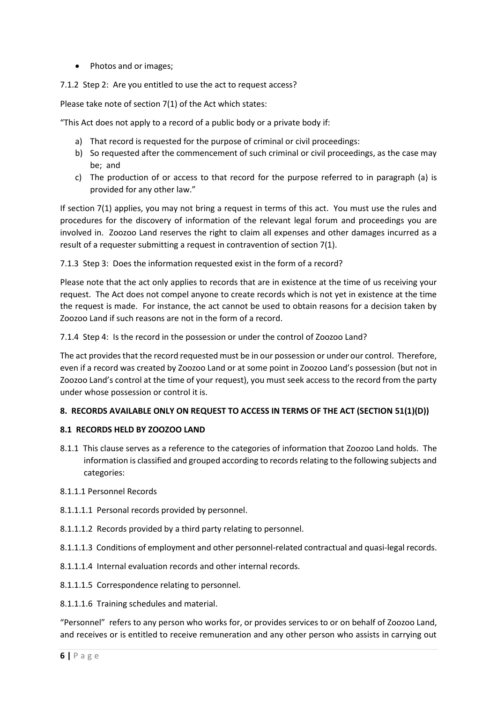- Photos and or images;
- 7.1.2 Step 2: Are you entitled to use the act to request access?

Please take note of section 7(1) of the Act which states:

"This Act does not apply to a record of a public body or a private body if:

- a) That record is requested for the purpose of criminal or civil proceedings:
- b) So requested after the commencement of such criminal or civil proceedings, as the case may be; and
- c) The production of or access to that record for the purpose referred to in paragraph (a) is provided for any other law."

If section 7(1) applies, you may not bring a request in terms of this act. You must use the rules and procedures for the discovery of information of the relevant legal forum and proceedings you are involved in. Zoozoo Land reserves the right to claim all expenses and other damages incurred as a result of a requester submitting a request in contravention of section 7(1).

## 7.1.3 Step 3: Does the information requested exist in the form of a record?

Please note that the act only applies to records that are in existence at the time of us receiving your request. The Act does not compel anyone to create records which is not yet in existence at the time the request is made. For instance, the act cannot be used to obtain reasons for a decision taken by Zoozoo Land if such reasons are not in the form of a record.

7.1.4 Step 4: Is the record in the possession or under the control of Zoozoo Land?

The act provides that the record requested must be in our possession or under our control. Therefore, even if a record was created by Zoozoo Land or at some point in Zoozoo Land's possession (but not in Zoozoo Land's control at the time of your request), you must seek access to the record from the party under whose possession or control it is.

# **8. RECORDS AVAILABLE ONLY ON REQUEST TO ACCESS IN TERMS OF THE ACT (SECTION 51(1)(D))**

## **8.1 RECORDS HELD BY ZOOZOO LAND**

8.1.1 This clause serves as a reference to the categories of information that Zoozoo Land holds. The information is classified and grouped according to records relating to the following subjects and categories:

## 8.1.1.1 Personnel Records

- 8.1.1.1.1 Personal records provided by personnel.
- 8.1.1.1.2 Records provided by a third party relating to personnel.
- 8.1.1.1.3 Conditions of employment and other personnel-related contractual and quasi-legal records.
- 8.1.1.1.4 Internal evaluation records and other internal records.
- 8.1.1.1.5 Correspondence relating to personnel.
- 8.1.1.1.6 Training schedules and material.

"Personnel" refers to any person who works for, or provides services to or on behalf of Zoozoo Land, and receives or is entitled to receive remuneration and any other person who assists in carrying out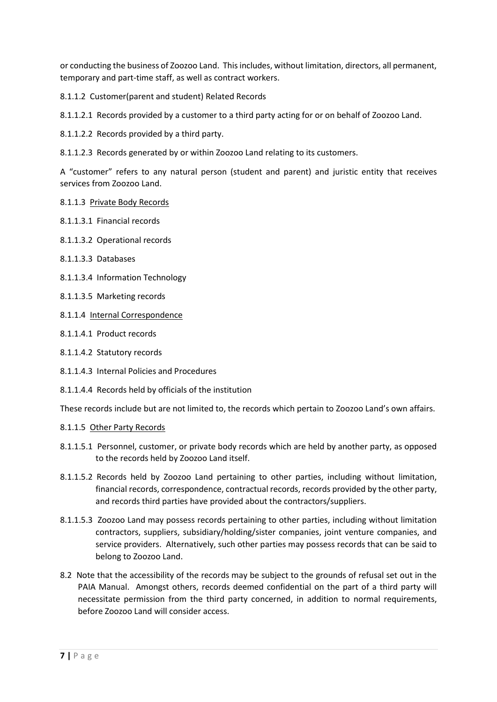or conducting the business of Zoozoo Land. This includes, without limitation, directors, all permanent, temporary and part-time staff, as well as contract workers.

8.1.1.2 Customer(parent and student) Related Records

8.1.1.2.1 Records provided by a customer to a third party acting for or on behalf of Zoozoo Land.

8.1.1.2.2 Records provided by a third party.

8.1.1.2.3 Records generated by or within Zoozoo Land relating to its customers.

A "customer" refers to any natural person (student and parent) and juristic entity that receives services from Zoozoo Land.

- 8.1.1.3 Private Body Records
- 8.1.1.3.1 Financial records
- 8.1.1.3.2 Operational records
- 8.1.1.3.3 Databases
- 8.1.1.3.4 Information Technology
- 8.1.1.3.5 Marketing records
- 8.1.1.4 Internal Correspondence
- 8.1.1.4.1 Product records
- 8.1.1.4.2 Statutory records
- 8.1.1.4.3 Internal Policies and Procedures
- 8.1.1.4.4 Records held by officials of the institution

These records include but are not limited to, the records which pertain to Zoozoo Land's own affairs.

## 8.1.1.5 Other Party Records

- 8.1.1.5.1 Personnel, customer, or private body records which are held by another party, as opposed to the records held by Zoozoo Land itself.
- 8.1.1.5.2 Records held by Zoozoo Land pertaining to other parties, including without limitation, financial records, correspondence, contractual records, records provided by the other party, and records third parties have provided about the contractors/suppliers.
- 8.1.1.5.3 Zoozoo Land may possess records pertaining to other parties, including without limitation contractors, suppliers, subsidiary/holding/sister companies, joint venture companies, and service providers. Alternatively, such other parties may possess records that can be said to belong to Zoozoo Land.
- 8.2 Note that the accessibility of the records may be subject to the grounds of refusal set out in the PAIA Manual. Amongst others, records deemed confidential on the part of a third party will necessitate permission from the third party concerned, in addition to normal requirements, before Zoozoo Land will consider access.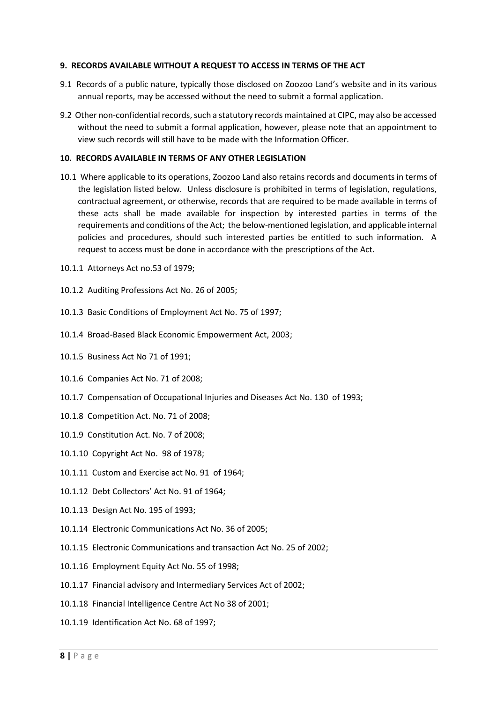#### **9. RECORDS AVAILABLE WITHOUT A REQUEST TO ACCESS IN TERMS OF THE ACT**

- 9.1 Records of a public nature, typically those disclosed on Zoozoo Land's website and in its various annual reports, may be accessed without the need to submit a formal application.
- 9.2 Other non-confidential records, such a statutory records maintained at CIPC, may also be accessed without the need to submit a formal application, however, please note that an appointment to view such records will still have to be made with the Information Officer.

#### **10. RECORDS AVAILABLE IN TERMS OF ANY OTHER LEGISLATION**

- 10.1 Where applicable to its operations, Zoozoo Land also retains records and documents in terms of the legislation listed below. Unless disclosure is prohibited in terms of legislation, regulations, contractual agreement, or otherwise, records that are required to be made available in terms of these acts shall be made available for inspection by interested parties in terms of the requirements and conditions of the Act; the below-mentioned legislation, and applicable internal policies and procedures, should such interested parties be entitled to such information. A request to access must be done in accordance with the prescriptions of the Act.
- 10.1.1 Attorneys Act no.53 of 1979;
- 10.1.2 Auditing Professions Act No. 26 of 2005;
- 10.1.3 Basic Conditions of Employment Act No. 75 of 1997;
- 10.1.4 Broad-Based Black Economic Empowerment Act, 2003;
- 10.1.5 Business Act No 71 of 1991;
- 10.1.6 Companies Act No. 71 of 2008;
- 10.1.7 Compensation of Occupational Injuries and Diseases Act No. 130 of 1993;
- 10.1.8 Competition Act. No. 71 of 2008;
- 10.1.9 Constitution Act. No. 7 of 2008;
- 10.1.10 Copyright Act No. 98 of 1978;
- 10.1.11 Custom and Exercise act No. 91 of 1964;
- 10.1.12 Debt Collectors' Act No. 91 of 1964;
- 10.1.13 Design Act No. 195 of 1993;
- 10.1.14 Electronic Communications Act No. 36 of 2005;
- 10.1.15 Electronic Communications and transaction Act No. 25 of 2002;
- 10.1.16 Employment Equity Act No. 55 of 1998;
- 10.1.17 Financial advisory and Intermediary Services Act of 2002;
- 10.1.18 Financial Intelligence Centre Act No 38 of 2001;
- 10.1.19 Identification Act No. 68 of 1997;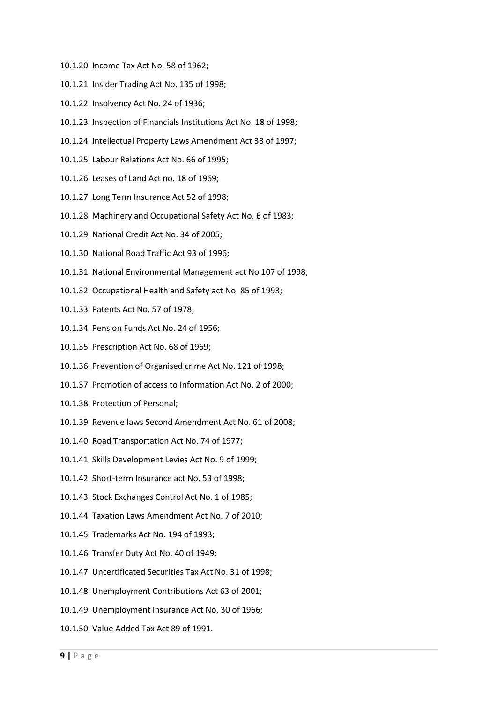- 10.1.20 Income Tax Act No. 58 of 1962;
- 10.1.21 Insider Trading Act No. 135 of 1998;
- 10.1.22 Insolvency Act No. 24 of 1936;
- 10.1.23 Inspection of Financials Institutions Act No. 18 of 1998;
- 10.1.24 Intellectual Property Laws Amendment Act 38 of 1997;
- 10.1.25 Labour Relations Act No. 66 of 1995;
- 10.1.26 Leases of Land Act no. 18 of 1969;
- 10.1.27 Long Term Insurance Act 52 of 1998;
- 10.1.28 Machinery and Occupational Safety Act No. 6 of 1983;
- 10.1.29 National Credit Act No. 34 of 2005;
- 10.1.30 National Road Traffic Act 93 of 1996;
- 10.1.31 National Environmental Management act No 107 of 1998;
- 10.1.32 Occupational Health and Safety act No. 85 of 1993;
- 10.1.33 Patents Act No. 57 of 1978;
- 10.1.34 Pension Funds Act No. 24 of 1956;
- 10.1.35 Prescription Act No. 68 of 1969;
- 10.1.36 Prevention of Organised crime Act No. 121 of 1998;
- 10.1.37 Promotion of access to Information Act No. 2 of 2000;
- 10.1.38 Protection of Personal;
- 10.1.39 Revenue laws Second Amendment Act No. 61 of 2008;
- 10.1.40 Road Transportation Act No. 74 of 1977;
- 10.1.41 Skills Development Levies Act No. 9 of 1999;
- 10.1.42 Short-term Insurance act No. 53 of 1998;
- 10.1.43 Stock Exchanges Control Act No. 1 of 1985;
- 10.1.44 Taxation Laws Amendment Act No. 7 of 2010;
- 10.1.45 Trademarks Act No. 194 of 1993;
- 10.1.46 Transfer Duty Act No. 40 of 1949;
- 10.1.47 Uncertificated Securities Tax Act No. 31 of 1998;
- 10.1.48 Unemployment Contributions Act 63 of 2001;
- 10.1.49 Unemployment Insurance Act No. 30 of 1966;
- 10.1.50 Value Added Tax Act 89 of 1991.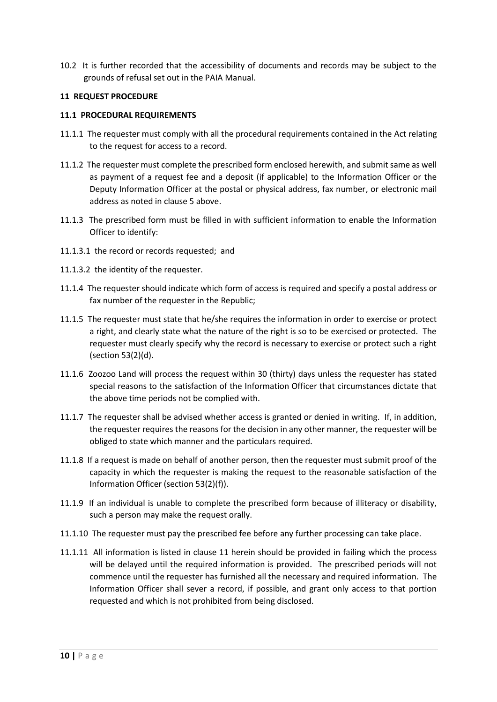10.2 It is further recorded that the accessibility of documents and records may be subject to the grounds of refusal set out in the PAIA Manual.

## **11 REQUEST PROCEDURE**

## **11.1 PROCEDURAL REQUIREMENTS**

- 11.1.1 The requester must comply with all the procedural requirements contained in the Act relating to the request for access to a record.
- 11.1.2 The requester must complete the prescribed form enclosed herewith, and submit same as well as payment of a request fee and a deposit (if applicable) to the Information Officer or the Deputy Information Officer at the postal or physical address, fax number, or electronic mail address as noted in clause 5 above.
- 11.1.3 The prescribed form must be filled in with sufficient information to enable the Information Officer to identify:
- 11.1.3.1 the record or records requested; and
- 11.1.3.2 the identity of the requester.
- 11.1.4 The requester should indicate which form of access is required and specify a postal address or fax number of the requester in the Republic;
- 11.1.5 The requester must state that he/she requires the information in order to exercise or protect a right, and clearly state what the nature of the right is so to be exercised or protected. The requester must clearly specify why the record is necessary to exercise or protect such a right (section 53(2)(d).
- 11.1.6 Zoozoo Land will process the request within 30 (thirty) days unless the requester has stated special reasons to the satisfaction of the Information Officer that circumstances dictate that the above time periods not be complied with.
- 11.1.7 The requester shall be advised whether access is granted or denied in writing. If, in addition, the requester requires the reasons for the decision in any other manner, the requester will be obliged to state which manner and the particulars required.
- 11.1.8 If a request is made on behalf of another person, then the requester must submit proof of the capacity in which the requester is making the request to the reasonable satisfaction of the Information Officer (section 53(2)(f)).
- 11.1.9 If an individual is unable to complete the prescribed form because of illiteracy or disability, such a person may make the request orally.
- 11.1.10 The requester must pay the prescribed fee before any further processing can take place.
- 11.1.11 All information is listed in clause 11 herein should be provided in failing which the process will be delayed until the required information is provided. The prescribed periods will not commence until the requester has furnished all the necessary and required information. The Information Officer shall sever a record, if possible, and grant only access to that portion requested and which is not prohibited from being disclosed.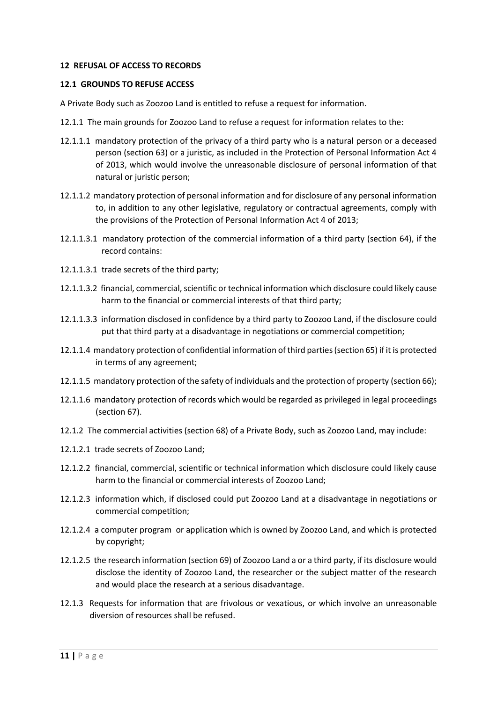## **12 REFUSAL OF ACCESS TO RECORDS**

#### **12.1 GROUNDS TO REFUSE ACCESS**

A Private Body such as Zoozoo Land is entitled to refuse a request for information.

- 12.1.1 The main grounds for Zoozoo Land to refuse a request for information relates to the:
- 12.1.1.1 mandatory protection of the privacy of a third party who is a natural person or a deceased person (section 63) or a juristic, as included in the Protection of Personal Information Act 4 of 2013, which would involve the unreasonable disclosure of personal information of that natural or juristic person;
- 12.1.1.2 mandatory protection of personal information and for disclosure of any personal information to, in addition to any other legislative, regulatory or contractual agreements, comply with the provisions of the Protection of Personal Information Act 4 of 2013;
- 12.1.1.3.1 mandatory protection of the commercial information of a third party (section 64), if the record contains:
- 12.1.1.3.1 trade secrets of the third party;
- 12.1.1.3.2 financial, commercial, scientific or technical information which disclosure could likely cause harm to the financial or commercial interests of that third party;
- 12.1.1.3.3 information disclosed in confidence by a third party to Zoozoo Land, if the disclosure could put that third party at a disadvantage in negotiations or commercial competition;
- 12.1.1.4 mandatory protection of confidential information of third parties (section 65) if it is protected in terms of any agreement;
- 12.1.1.5 mandatory protection of the safety of individuals and the protection of property (section 66);
- 12.1.1.6 mandatory protection of records which would be regarded as privileged in legal proceedings (section 67).
- 12.1.2 The commercial activities (section 68) of a Private Body, such as Zoozoo Land, may include:
- 12.1.2.1 trade secrets of Zoozoo Land;
- 12.1.2.2 financial, commercial, scientific or technical information which disclosure could likely cause harm to the financial or commercial interests of Zoozoo Land;
- 12.1.2.3 information which, if disclosed could put Zoozoo Land at a disadvantage in negotiations or commercial competition;
- 12.1.2.4 a computer program or application which is owned by Zoozoo Land, and which is protected by copyright;
- 12.1.2.5 the research information (section 69) of Zoozoo Land a or a third party, if its disclosure would disclose the identity of Zoozoo Land, the researcher or the subject matter of the research and would place the research at a serious disadvantage.
- 12.1.3 Requests for information that are frivolous or vexatious, or which involve an unreasonable diversion of resources shall be refused.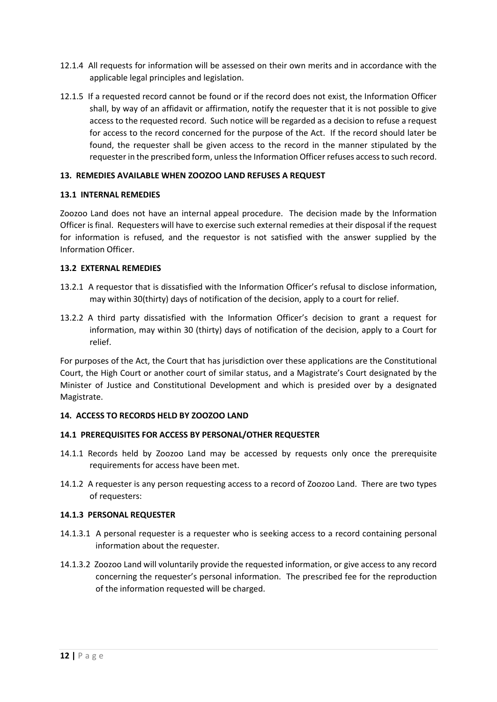- 12.1.4 All requests for information will be assessed on their own merits and in accordance with the applicable legal principles and legislation.
- 12.1.5 If a requested record cannot be found or if the record does not exist, the Information Officer shall, by way of an affidavit or affirmation, notify the requester that it is not possible to give access to the requested record. Such notice will be regarded as a decision to refuse a request for access to the record concerned for the purpose of the Act. If the record should later be found, the requester shall be given access to the record in the manner stipulated by the requester in the prescribed form, unless the Information Officer refuses access to such record.

## **13. REMEDIES AVAILABLE WHEN ZOOZOO LAND REFUSES A REQUEST**

## **13.1 INTERNAL REMEDIES**

Zoozoo Land does not have an internal appeal procedure. The decision made by the Information Officer is final. Requesters will have to exercise such external remedies at their disposal if the request for information is refused, and the requestor is not satisfied with the answer supplied by the Information Officer.

## **13.2 EXTERNAL REMEDIES**

- 13.2.1 A requestor that is dissatisfied with the Information Officer's refusal to disclose information, may within 30(thirty) days of notification of the decision, apply to a court for relief.
- 13.2.2 A third party dissatisfied with the Information Officer's decision to grant a request for information, may within 30 (thirty) days of notification of the decision, apply to a Court for relief.

For purposes of the Act, the Court that has jurisdiction over these applications are the Constitutional Court, the High Court or another court of similar status, and a Magistrate's Court designated by the Minister of Justice and Constitutional Development and which is presided over by a designated Magistrate.

# **14. ACCESS TO RECORDS HELD BY ZOOZOO LAND**

## **14.1 PREREQUISITES FOR ACCESS BY PERSONAL/OTHER REQUESTER**

- 14.1.1 Records held by Zoozoo Land may be accessed by requests only once the prerequisite requirements for access have been met.
- 14.1.2 A requester is any person requesting access to a record of Zoozoo Land. There are two types of requesters:

## **14.1.3 PERSONAL REQUESTER**

- 14.1.3.1 A personal requester is a requester who is seeking access to a record containing personal information about the requester.
- 14.1.3.2 Zoozoo Land will voluntarily provide the requested information, or give access to any record concerning the requester's personal information. The prescribed fee for the reproduction of the information requested will be charged.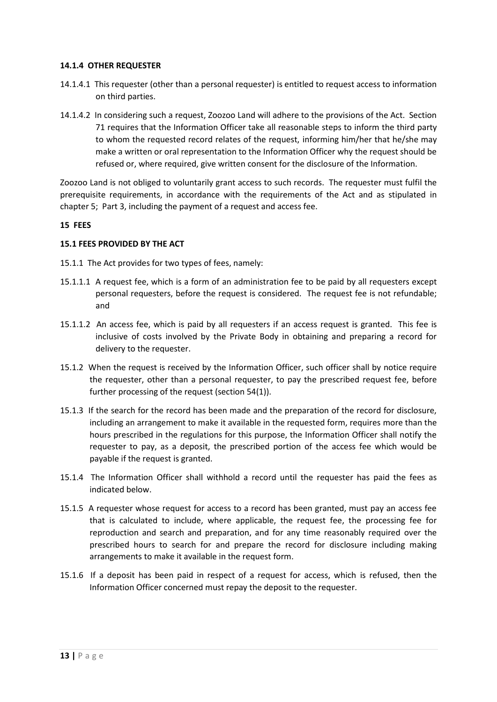## **14.1.4 OTHER REQUESTER**

- 14.1.4.1 This requester (other than a personal requester) is entitled to request access to information on third parties.
- 14.1.4.2 In considering such a request, Zoozoo Land will adhere to the provisions of the Act. Section 71 requires that the Information Officer take all reasonable steps to inform the third party to whom the requested record relates of the request, informing him/her that he/she may make a written or oral representation to the Information Officer why the request should be refused or, where required, give written consent for the disclosure of the Information.

Zoozoo Land is not obliged to voluntarily grant access to such records. The requester must fulfil the prerequisite requirements, in accordance with the requirements of the Act and as stipulated in chapter 5; Part 3, including the payment of a request and access fee.

## **15 FEES**

## **15.1 FEES PROVIDED BY THE ACT**

15.1.1 The Act provides for two types of fees, namely:

- 15.1.1.1 A request fee, which is a form of an administration fee to be paid by all requesters except personal requesters, before the request is considered. The request fee is not refundable; and
- 15.1.1.2 An access fee, which is paid by all requesters if an access request is granted. This fee is inclusive of costs involved by the Private Body in obtaining and preparing a record for delivery to the requester.
- 15.1.2 When the request is received by the Information Officer, such officer shall by notice require the requester, other than a personal requester, to pay the prescribed request fee, before further processing of the request (section 54(1)).
- 15.1.3 If the search for the record has been made and the preparation of the record for disclosure, including an arrangement to make it available in the requested form, requires more than the hours prescribed in the regulations for this purpose, the Information Officer shall notify the requester to pay, as a deposit, the prescribed portion of the access fee which would be payable if the request is granted.
- 15.1.4 The Information Officer shall withhold a record until the requester has paid the fees as indicated below.
- 15.1.5 A requester whose request for access to a record has been granted, must pay an access fee that is calculated to include, where applicable, the request fee, the processing fee for reproduction and search and preparation, and for any time reasonably required over the prescribed hours to search for and prepare the record for disclosure including making arrangements to make it available in the request form.
- 15.1.6 If a deposit has been paid in respect of a request for access, which is refused, then the Information Officer concerned must repay the deposit to the requester.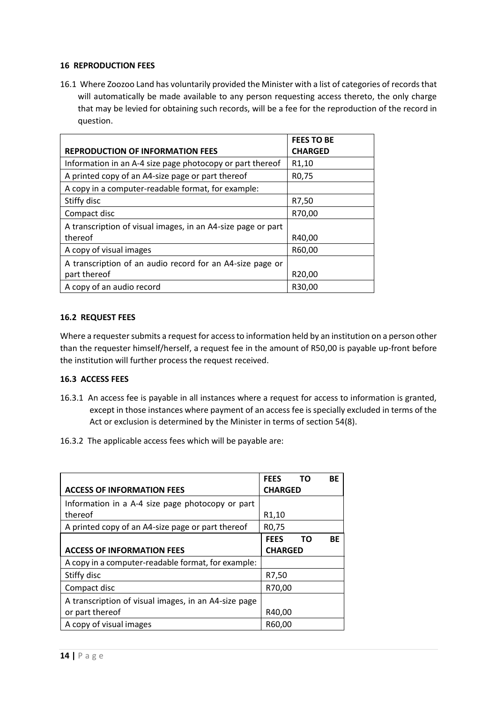## **16 REPRODUCTION FEES**

16.1 Where Zoozoo Land has voluntarily provided the Minister with a list of categories of records that will automatically be made available to any person requesting access thereto, the only charge that may be levied for obtaining such records, will be a fee for the reproduction of the record in question.

|                                                              | <b>FEES TO BE</b>  |
|--------------------------------------------------------------|--------------------|
| <b>REPRODUCTION OF INFORMATION FEES</b>                      | <b>CHARGED</b>     |
| Information in an A-4 size page photocopy or part thereof    | R <sub>1</sub> ,10 |
| A printed copy of an A4-size page or part thereof            | R0,75              |
| A copy in a computer-readable format, for example:           |                    |
| Stiffy disc                                                  | R7,50              |
| Compact disc                                                 | R70,00             |
| A transcription of visual images, in an A4-size page or part |                    |
| thereof                                                      | R40,00             |
| A copy of visual images                                      | R60,00             |
| A transcription of an audio record for an A4-size page or    |                    |
| part thereof                                                 | R20,00             |
| A copy of an audio record                                    | R30,00             |

## **16.2 REQUEST FEES**

Where a requester submits a request for access to information held by an institution on a person other than the requester himself/herself, a request fee in the amount of R50,00 is payable up-front before the institution will further process the request received.

# **16.3 ACCESS FEES**

- 16.3.1 An access fee is payable in all instances where a request for access to information is granted, except in those instances where payment of an access fee is specially excluded in terms of the Act or exclusion is determined by the Minister in terms of section 54(8).
- 16.3.2 The applicable access fees which will be payable are:

|                                                      | <b>FEES</b> | – то           | <b>BE</b> |
|------------------------------------------------------|-------------|----------------|-----------|
| <b>ACCESS OF INFORMATION FEES</b>                    |             | <b>CHARGED</b> |           |
| Information in a A-4 size page photocopy or part     |             |                |           |
| thereof                                              |             |                |           |
| A printed copy of an A4-size page or part thereof    |             |                |           |
|                                                      | <b>FEES</b> | <b>TO</b>      | ВF        |
| <b>ACCESS OF INFORMATION FEES</b>                    |             | <b>CHARGED</b> |           |
| A copy in a computer-readable format, for example:   |             |                |           |
| Stiffy disc                                          |             |                |           |
| Compact disc                                         |             | R70,00         |           |
| A transcription of visual images, in an A4-size page |             |                |           |
| or part thereof                                      |             | R40,00         |           |
| A copy of visual images                              |             | R60,00         |           |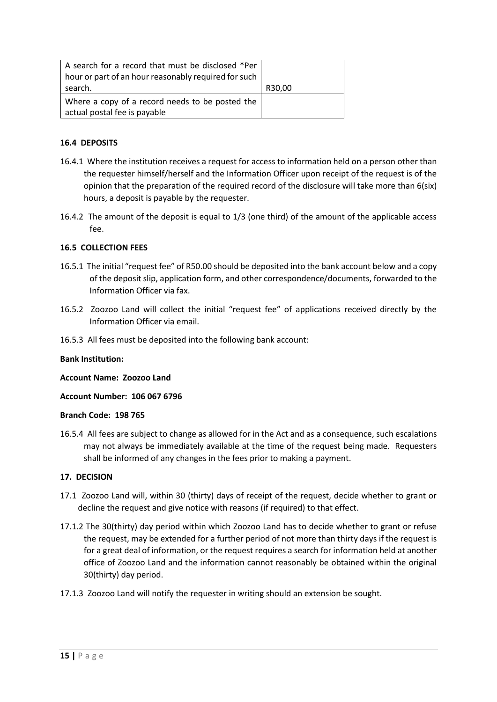| A search for a record that must be disclosed *Per<br>hour or part of an hour reasonably required for such |        |
|-----------------------------------------------------------------------------------------------------------|--------|
| search.                                                                                                   | R30,00 |
| Where a copy of a record needs to be posted the<br>actual postal fee is payable                           |        |

## **16.4 DEPOSITS**

- 16.4.1 Where the institution receives a request for access to information held on a person other than the requester himself/herself and the Information Officer upon receipt of the request is of the opinion that the preparation of the required record of the disclosure will take more than 6(six) hours, a deposit is payable by the requester.
- 16.4.2 The amount of the deposit is equal to 1/3 (one third) of the amount of the applicable access fee.

## **16.5 COLLECTION FEES**

- 16.5.1 The initial "request fee" of R50.00 should be deposited into the bank account below and a copy of the deposit slip, application form, and other correspondence/documents, forwarded to the Information Officer via fax.
- 16.5.2 Zoozoo Land will collect the initial "request fee" of applications received directly by the Information Officer via email.
- 16.5.3 All fees must be deposited into the following bank account:

## **Bank Institution:**

**Account Name: Zoozoo Land**

**Account Number: 106 067 6796**

## **Branch Code: 198 765**

16.5.4 All fees are subject to change as allowed for in the Act and as a consequence, such escalations may not always be immediately available at the time of the request being made. Requesters shall be informed of any changes in the fees prior to making a payment.

## **17. DECISION**

- 17.1 Zoozoo Land will, within 30 (thirty) days of receipt of the request, decide whether to grant or decline the request and give notice with reasons (if required) to that effect.
- 17.1.2 The 30(thirty) day period within which Zoozoo Land has to decide whether to grant or refuse the request, may be extended for a further period of not more than thirty days if the request is for a great deal of information, or the request requires a search for information held at another office of Zoozoo Land and the information cannot reasonably be obtained within the original 30(thirty) day period.
- 17.1.3 Zoozoo Land will notify the requester in writing should an extension be sought.